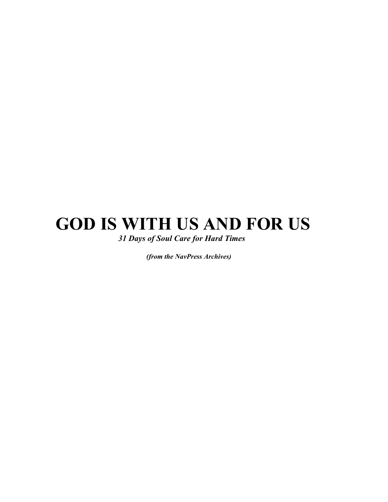# GOD IS WITH US AND FOR US

31 Days of Soul Care for Hard Times

(from the NavPress Archives)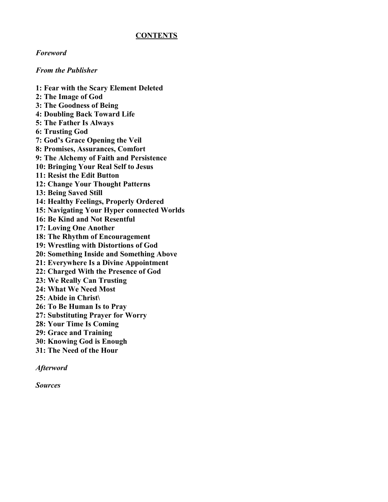#### **CONTENTS**

#### [Foreword](#page-2-0)

#### [From the Publisher](#page-3-0)

[1: Fear with the Scary Element Deleted](#page-4-0) [2: The Image of God](#page-5-0) [3: The Goodness of Being](#page-6-0) [4: Doubling Back Toward Life](#page-7-0) [5: The Father Is Always](#page-8-0) [6: Trusting God](#page-9-0) [7: God's Grace Opening the Veil](#page-10-0) [8: Promises, Assurances, Comfort](#page-11-0) [9: The Alchemy of Faith and Persistence](#page-12-0) [10: Bringing Your Real Self to Jesus](#page-13-0) [11: Resist the Edit Button](#page-14-0) [12: Change Your Thought Patterns](#page-15-0) [13: Being Saved Still](#page-16-0) [14: Healthy Feelings, Properly Ordered](#page-17-0) [15: Navigating Your Hyper connected Worlds](#page-18-0) [16: Be Kind and Not Resentful](#page-19-0) [17: Loving One Another](#page-20-0) [18: The Rhythm of Encouragement](#page-21-0) [19: Wrestling with Distortions of God](#page-22-0) [20: Something Inside and Something Above](#page-23-0) [21: Everywhere Is a Divine Appointment](#page-24-0) [22: Charged With the Presence of God](#page-25-0) [23: We Really Can Trusting](#page-26-0) [24: What We Need Most](#page-27-0) [25: Abide in Christ\](#page-28-0) [26: To Be Human Is to Pray](#page-29-0) [27: Substituting Prayer for Worry](#page-30-0) [28: Your Time Is Coming](#page-31-0) [29: Grace and Training](#page-32-0) [30: Knowing God is Enough](#page-33-0) [31: The Need of the Hour](#page-34-0)

[Afterword](#page-35-0)

[Sources](#page-36-0)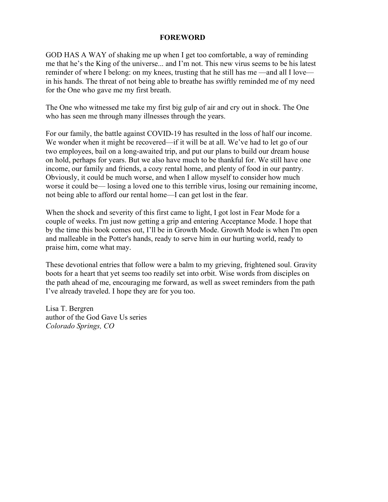#### FOREWORD

<span id="page-2-0"></span>GOD HAS A WAY of shaking me up when I get too comfortable, a way of reminding me that he's the King of the universe... and I'm not. This new virus seems to be his latest reminder of where I belong: on my knees, trusting that he still has me —and all I love in his hands. The threat of not being able to breathe has swiftly reminded me of my need for the One who gave me my first breath.

The One who witnessed me take my first big gulp of air and cry out in shock. The One who has seen me through many illnesses through the years.

For our family, the battle against COVID-19 has resulted in the loss of half our income. We wonder when it might be recovered—if it will be at all. We've had to let go of our two employees, bail on a long-awaited trip, and put our plans to build our dream house on hold, perhaps for years. But we also have much to be thankful for. We still have one income, our family and friends, a cozy rental home, and plenty of food in our pantry. Obviously, it could be much worse, and when I allow myself to consider how much worse it could be— losing a loved one to this terrible virus, losing our remaining income, not being able to afford our rental home—I can get lost in the fear.

When the shock and severity of this first came to light, I got lost in Fear Mode for a couple of weeks. I'm just now getting a grip and entering Acceptance Mode. I hope that by the time this book comes out, I'll be in Growth Mode. Growth Mode is when I'm open and malleable in the Potter's hands, ready to serve him in our hurting world, ready to praise him, come what may.

These devotional entries that follow were a balm to my grieving, frightened soul. Gravity boots for a heart that yet seems too readily set into orbit. Wise words from disciples on the path ahead of me, encouraging me forward, as well as sweet reminders from the path I've already traveled. I hope they are for you too.

Lisa T. Bergren author of the God Gave Us series Colorado Springs, CO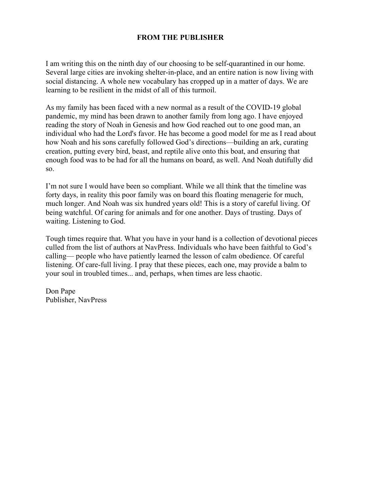#### FROM THE PUBLISHER

<span id="page-3-0"></span>I am writing this on the ninth day of our choosing to be self-quarantined in our home. Several large cities are invoking shelter-in-place, and an entire nation is now living with social distancing. A whole new vocabulary has cropped up in a matter of days. We are learning to be resilient in the midst of all of this turmoil.

As my family has been faced with a new normal as a result of the COVID-19 global pandemic, my mind has been drawn to another family from long ago. I have enjoyed reading the story of Noah in Genesis and how God reached out to one good man, an individual who had the Lord's favor. He has become a good model for me as I read about how Noah and his sons carefully followed God's directions—building an ark, curating creation, putting every bird, beast, and reptile alive onto this boat, and ensuring that enough food was to be had for all the humans on board, as well. And Noah dutifully did so.

I'm not sure I would have been so compliant. While we all think that the timeline was forty days, in reality this poor family was on board this floating menagerie for much, much longer. And Noah was six hundred years old! This is a story of careful living. Of being watchful. Of caring for animals and for one another. Days of trusting. Days of waiting. Listening to God.

Tough times require that. What you have in your hand is a collection of devotional pieces culled from the list of authors at NavPress. Individuals who have been faithful to God's calling— people who have patiently learned the lesson of calm obedience. Of careful listening. Of care-full living. I pray that these pieces, each one, may provide a balm to your soul in troubled times... and, perhaps, when times are less chaotic.

Don Pape Publisher, NavPress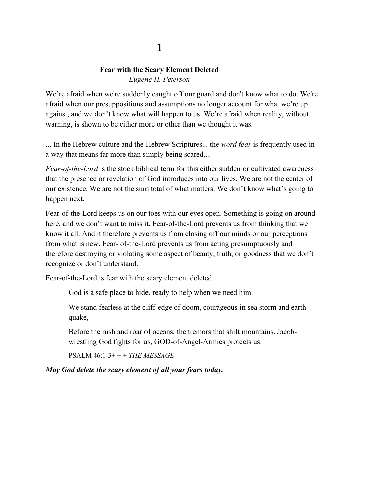### Fear with the Scary Element Deleted

Eugene H. Peterson

<span id="page-4-0"></span>We're afraid when we're suddenly caught off our guard and don't know what to do. We're afraid when our presuppositions and assumptions no longer account for what we're up against, and we don't know what will happen to us. We're afraid when reality, without warning, is shown to be either more or other than we thought it was.

... In the Hebrew culture and the Hebrew Scriptures... the *word fear* is frequently used in a way that means far more than simply being scared....

Fear-of-the-Lord is the stock biblical term for this either sudden or cultivated awareness that the presence or revelation of God introduces into our lives. We are not the center of our existence. We are not the sum total of what matters. We don't know what's going to happen next.

Fear-of-the-Lord keeps us on our toes with our eyes open. Something is going on around here, and we don't want to miss it. Fear-of-the-Lord prevents us from thinking that we know it all. And it therefore prevents us from closing off our minds or our perceptions from what is new. Fear- of-the-Lord prevents us from acting presumptuously and therefore destroying or violating some aspect of beauty, truth, or goodness that we don't recognize or don't understand.

Fear-of-the-Lord is fear with the scary element deleted.

God is a safe place to hide, ready to help when we need him.

We stand fearless at the cliff-edge of doom, courageous in sea storm and earth quake,

Before the rush and roar of oceans, the tremors that shift mountains. Jacobwrestling God fights for us, GOD-of-Angel-Armies protects us.

PSALM  $46:1-3+++$  THE MESSAGE

May God delete the scary element of all your fears today.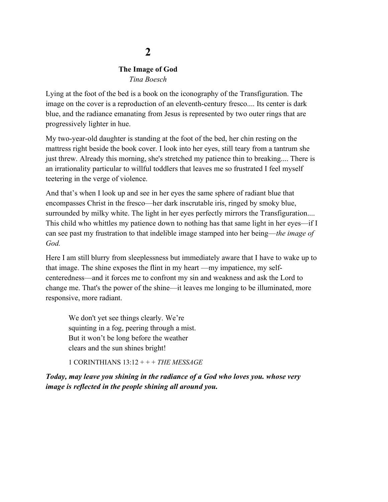### The Image of God Tina Boesch

<span id="page-5-0"></span>Lying at the foot of the bed is a book on the iconography of the Transfiguration. The image on the cover is a reproduction of an eleventh-century fresco.... Its center is dark blue, and the radiance emanating from Jesus is represented by two outer rings that are progressively lighter in hue.

My two-year-old daughter is standing at the foot of the bed, her chin resting on the mattress right beside the book cover. I look into her eyes, still teary from a tantrum she just threw. Already this morning, she's stretched my patience thin to breaking.... There is an irrationality particular to willful toddlers that leaves me so frustrated I feel myself teetering in the verge of violence.

And that's when I look up and see in her eyes the same sphere of radiant blue that encompasses Christ in the fresco—her dark inscrutable iris, ringed by smoky blue, surrounded by milky white. The light in her eyes perfectly mirrors the Transfiguration.... This child who whittles my patience down to nothing has that same light in her eyes—if I can see past my frustration to that indelible image stamped into her being—the image of God.

Here I am still blurry from sleeplessness but immediately aware that I have to wake up to that image. The shine exposes the flint in my heart —my impatience, my selfcenteredness—and it forces me to confront my sin and weakness and ask the Lord to change me. That's the power of the shine—it leaves me longing to be illuminated, more responsive, more radiant.

We don't yet see things clearly. We're squinting in a fog, peering through a mist. But it won't be long before the weather clears and the sun shines bright!

1 CORINTHIANS  $13:12 + + +$  THE MESSAGE

Today, may leave you shining in the radiance of a God who loves you. whose very image is reflected in the people shining all around you.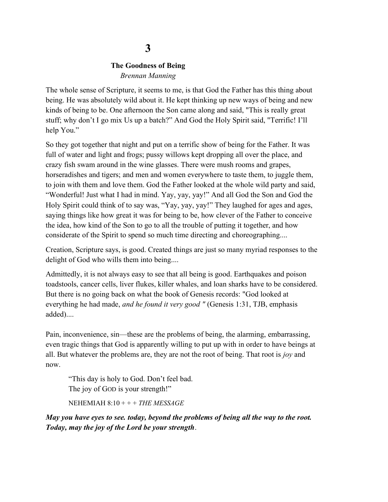### The Goodness of Being Brennan Manning

<span id="page-6-0"></span>The whole sense of Scripture, it seems to me, is that God the Father has this thing about being. He was absolutely wild about it. He kept thinking up new ways of being and new kinds of being to be. One afternoon the Son came along and said, "This is really great stuff; why don't I go mix Us up a batch?" And God the Holy Spirit said, "Terrific! I'll help You."

So they got together that night and put on a terrific show of being for the Father. It was full of water and light and frogs; pussy willows kept dropping all over the place, and crazy fish swam around in the wine glasses. There were mush rooms and grapes, horseradishes and tigers; and men and women everywhere to taste them, to juggle them, to join with them and love them. God the Father looked at the whole wild party and said, "Wonderful! Just what I had in mind. Yay, yay, yay!" And all God the Son and God the Holy Spirit could think of to say was, "Yay, yay, yay!" They laughed for ages and ages, saying things like how great it was for being to be, how clever of the Father to conceive the idea, how kind of the Son to go to all the trouble of putting it together, and how considerate of the Spirit to spend so much time directing and choreographing....

Creation, Scripture says, is good. Created things are just so many myriad responses to the delight of God who wills them into being....

Admittedly, it is not always easy to see that all being is good. Earthquakes and poison toadstools, cancer cells, liver flukes, killer whales, and loan sharks have to be considered. But there is no going back on what the book of Genesis records: "God looked at everything he had made, *and he found it very good* " (Genesis 1:31, TJB, emphasis added)....

Pain, inconvenience, sin—these are the problems of being, the alarming, embarrassing, even tragic things that God is apparently willing to put up with in order to have beings at all. But whatever the problems are, they are not the root of being. That root is joy and now.

"This day is holy to God. Don't feel bad. The joy of GOD is your strength!"

NEHEMIAH  $8:10 + + +$  THE MESSAGE

May you have eyes to see. today, beyond the problems of being all the way to the root. Today, may the joy of the Lord be your strength.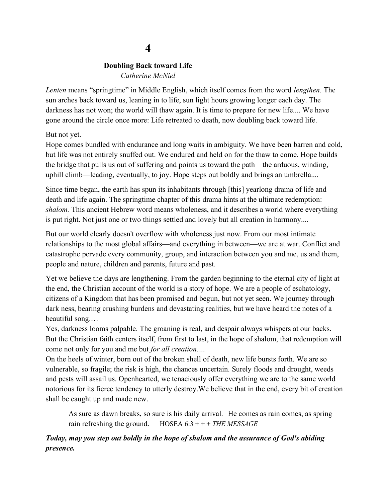### Doubling Back toward Life Catherine McNiel

<span id="page-7-0"></span>Lenten means "springtime" in Middle English, which itself comes from the word *lengthen*. The sun arches back toward us, leaning in to life, sun light hours growing longer each day. The darkness has not won; the world will thaw again. It is time to prepare for new life.... We have gone around the circle once more: Life retreated to death, now doubling back toward life.

But not yet.

Hope comes bundled with endurance and long waits in ambiguity. We have been barren and cold, but life was not entirely snuffed out. We endured and held on for the thaw to come. Hope builds the bridge that pulls us out of suffering and points us toward the path—the arduous, winding, uphill climb—leading, eventually, to joy. Hope steps out boldly and brings an umbrella....

Since time began, the earth has spun its inhabitants through [this] yearlong drama of life and death and life again. The springtime chapter of this drama hints at the ultimate redemption: shalom. This ancient Hebrew word means wholeness, and it describes a world where everything is put right. Not just one or two things settled and lovely but all creation in harmony....

But our world clearly doesn't overflow with wholeness just now. From our most intimate relationships to the most global affairs—and everything in between—we are at war. Conflict and catastrophe pervade every community, group, and interaction between you and me, us and them, people and nature, children and parents, future and past.

Yet we believe the days are lengthening. From the garden beginning to the eternal city of light at the end, the Christian account of the world is a story of hope. We are a people of eschatology, citizens of a Kingdom that has been promised and begun, but not yet seen. We journey through dark ness, bearing crushing burdens and devastating realities, but we have heard the notes of a beautiful song.…

Yes, darkness looms palpable. The groaning is real, and despair always whispers at our backs. But the Christian faith centers itself, from first to last, in the hope of shalom, that redemption will come not only for you and me but for all creation.…

On the heels of winter, born out of the broken shell of death, new life bursts forth. We are so vulnerable, so fragile; the risk is high, the chances uncertain. Surely floods and drought, weeds and pests will assail us. Openhearted, we tenaciously offer everything we are to the same world notorious for its fierce tendency to utterly destroy.We believe that in the end, every bit of creation shall be caught up and made new.

As sure as dawn breaks, so sure is his daily arrival. He comes as rain comes, as spring rain refreshing the ground. HOSEA  $6:3$  + + + THE MESSAGE

### Today, may you step out boldly in the hope of shalom and the assurance of God's abiding presence.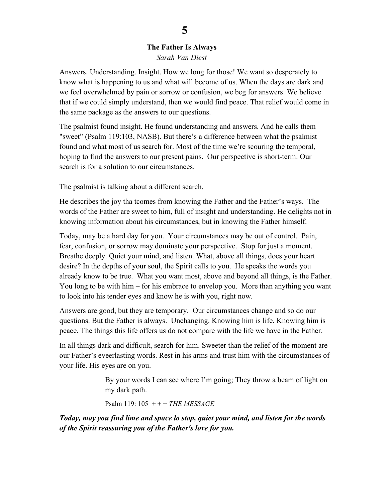#### The Father Is Always

Sarah Van Diest

<span id="page-8-0"></span>Answers. Understanding. Insight. How we long for those! We want so desperately to know what is happening to us and what will become of us. When the days are dark and we feel overwhelmed by pain or sorrow or confusion, we beg for answers. We believe that if we could simply understand, then we would find peace. That relief would come in the same package as the answers to our questions.

The psalmist found insight. He found understanding and answers. And he calls them "sweet" (Psalm 119:103, NASB). But there's a difference between what the psalmist found and what most of us search for. Most of the time we're scouring the temporal, hoping to find the answers to our present pains. Our perspective is short-term. Our search is for a solution to our circumstances.

The psalmist is talking about a different search.

He describes the joy tha tcomes from knowing the Father and the Father's ways. The words of the Father are sweet to him, full of insight and understanding. He delights not in knowing information about his circumstances, but in knowing the Father himself.

Today, may be a hard day for you. Your circumstances may be out of control. Pain, fear, confusion, or sorrow may dominate your perspective. Stop for just a moment. Breathe deeply. Quiet your mind, and listen. What, above all things, does your heart desire? In the depths of your soul, the Spirit calls to you. He speaks the words you already know to be true. What you want most, above and beyond all things, is the Father. You long to be with him – for his embrace to envelop you. More than anything you want to look into his tender eyes and know he is with you, right now.

Answers are good, but they are temporary. Our circumstances change and so do our questions. But the Father is always. Unchanging. Knowing him is life. Knowing him is peace. The things this life offers us do not compare with the life we have in the Father.

In all things dark and difficult, search for him. Sweeter than the relief of the moment are our Father's eveerlasting words. Rest in his arms and trust him with the circumstances of your life. His eyes are on you.

> By your words I can see where I'm going; They throw a beam of light on my dark path.

Psalm 119:  $105$  + + + THE MESSAGE

Today, may you find lime and space lo stop, quiet your mind, and listen for the words of the Spirit reassuring you of the Father's love for you.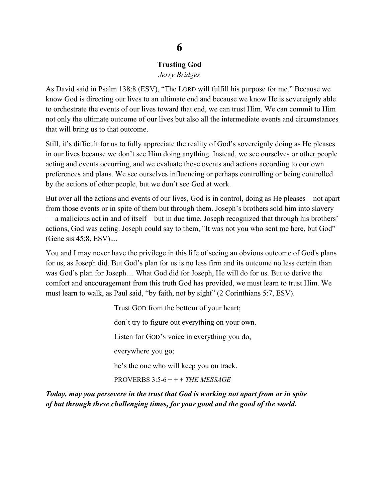#### Trusting God Jerry Bridges

<span id="page-9-0"></span>As David said in Psalm 138:8 (ESV), "The LORD will fulfill his purpose for me." Because we know God is directing our lives to an ultimate end and because we know He is sovereignly able to orchestrate the events of our lives toward that end, we can trust Him. We can commit to Him not only the ultimate outcome of our lives but also all the intermediate events and circumstances that will bring us to that outcome.

Still, it's difficult for us to fully appreciate the reality of God's sovereignly doing as He pleases in our lives because we don't see Him doing anything. Instead, we see ourselves or other people acting and events occurring, and we evaluate those events and actions according to our own preferences and plans. We see ourselves influencing or perhaps controlling or being controlled by the actions of other people, but we don't see God at work.

But over all the actions and events of our lives, God is in control, doing as He pleases—not apart from those events or in spite of them but through them. Joseph's brothers sold him into slavery — a malicious act in and of itself—but in due time, Joseph recognized that through his brothers' actions, God was acting. Joseph could say to them, "It was not you who sent me here, but God" (Gene sis 45:8, ESV)....

You and I may never have the privilege in this life of seeing an obvious outcome of God's plans for us, as Joseph did. But God's plan for us is no less firm and its outcome no less certain than was God's plan for Joseph.... What God did for Joseph, He will do for us. But to derive the comfort and encouragement from this truth God has provided, we must learn to trust Him. We must learn to walk, as Paul said, "by faith, not by sight" (2 Corinthians 5:7, ESV).

> Trust GOD from the bottom of your heart; don't try to figure out everything on your own. Listen for GOD'S voice in everything you do, everywhere you go; he's the one who will keep you on track. PROVERBS  $3:5-6+++$  THE MESSAGE

Today, may you persevere in the trust that God is working not apart from or in spite of but through these challenging times, for your good and the good of the world.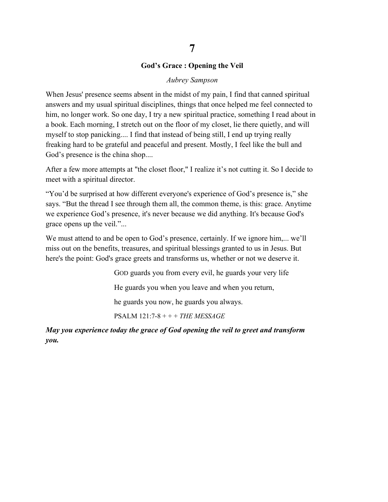#### God's Grace : Opening the Veil

#### Aubrey Sampson

<span id="page-10-0"></span>When Jesus' presence seems absent in the midst of my pain, I find that canned spiritual answers and my usual spiritual disciplines, things that once helped me feel connected to him, no longer work. So one day, I try a new spiritual practice, something I read about in a book. Each morning, I stretch out on the floor of my closet, lie there quietly, and will myself to stop panicking.... I find that instead of being still, I end up trying really freaking hard to be grateful and peaceful and present. Mostly, I feel like the bull and God's presence is the china shop....

After a few more attempts at "the closet floor," I realize it's not cutting it. So I decide to meet with a spiritual director.

"You'd be surprised at how different everyone's experience of God's presence is," she says. "But the thread I see through them all, the common theme, is this: grace. Anytime we experience God's presence, it's never because we did anything. It's because God's grace opens up the veil."...

We must attend to and be open to God's presence, certainly. If we ignore him,... we'll miss out on the benefits, treasures, and spiritual blessings granted to us in Jesus. But here's the point: God's grace greets and transforms us, whether or not we deserve it.

GOD guards you from every evil, he guards your very life

He guards you when you leave and when you return,

he guards you now, he guards you always.

PSALM  $121:7-8$  + + + THE MESSAGE

May you experience today the grace of God opening the veil to greet and transform you.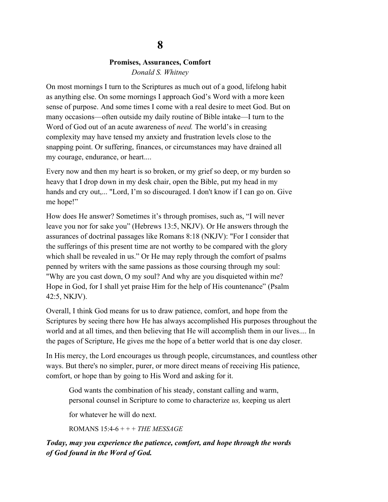### Promises, Assurances, Comfort Donald S. Whitney

<span id="page-11-0"></span>On most mornings I turn to the Scriptures as much out of a good, lifelong habit as anything else. On some mornings I approach God's Word with a more keen sense of purpose. And some times I come with a real desire to meet God. But on many occasions—often outside my daily routine of Bible intake—I turn to the Word of God out of an acute awareness of *need*. The world's in creasing complexity may have tensed my anxiety and frustration levels close to the snapping point. Or suffering, finances, or circumstances may have drained all my courage, endurance, or heart....

Every now and then my heart is so broken, or my grief so deep, or my burden so heavy that I drop down in my desk chair, open the Bible, put my head in my hands and cry out,... "Lord, I'm so discouraged. I don't know if I can go on. Give me hope!"

How does He answer? Sometimes it's through promises, such as, "I will never leave you nor for sake you" (Hebrews 13:5, NKJV). Or He answers through the assurances of doctrinal passages like Romans 8:18 (NKJV): "For I consider that the sufferings of this present time are not worthy to be compared with the glory which shall be revealed in us." Or He may reply through the comfort of psalms penned by writers with the same passions as those coursing through my soul: "Why are you cast down, O my soul? And why are you disquieted within me? Hope in God, for I shall yet praise Him for the help of His countenance" (Psalm 42:5, NKJV).

Overall, I think God means for us to draw patience, comfort, and hope from the Scriptures by seeing there how He has always accomplished His purposes throughout the world and at all times, and then believing that He will accomplish them in our lives.... In the pages of Scripture, He gives me the hope of a better world that is one day closer.

In His mercy, the Lord encourages us through people, circumstances, and countless other ways. But there's no simpler, purer, or more direct means of receiving His patience, comfort, or hope than by going to His Word and asking for it.

God wants the combination of his steady, constant calling and warm, personal counsel in Scripture to come to characterize us, keeping us alert

for whatever he will do next.

ROMANS  $15:4-6$  + + + THE MESSAGE

Today, may you experience the patience, comfort, and hope through the words of God found in the Word of God.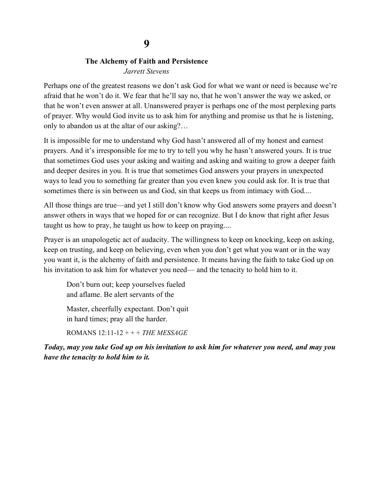### The Alchemy of Faith and Persistence Jarrett Stevens

<span id="page-12-0"></span>Perhaps one of the greatest reasons we don't ask God for what we want or need is because we're afraid that he won't do it. We fear that he'll say no, that he won't answer the way we asked, or that he won't even answer at all. Unanswered prayer is perhaps one of the most perplexing parts of prayer. Why would God invite us to ask him for anything and promise us that he is listening, only to abandon us at the altar of our asking?…

It is impossible for me to understand why God hasn't answered all of my honest and earnest prayers. And it's irresponsible for me to try to tell you why he hasn't answered yours. It is true that sometimes God uses your asking and waiting and asking and waiting to grow a deeper faith and deeper desires in you. It is true that sometimes God answers your prayers in unexpected ways to lead you to something far greater than you even knew you could ask for. It is true that sometimes there is sin between us and God, sin that keeps us from intimacy with God....

All those things are true—and yet I still don't know why God answers some prayers and doesn't answer others in ways that we hoped for or can recognize. But I do know that right after Jesus taught us how to pray, he taught us how to keep on praying....

Prayer is an unapologetic act of audacity. The willingness to keep on knocking, keep on asking, keep on trusting, and keep on believing, even when you don't get what you want or in the way you want it, is the alchemy of faith and persistence. It means having the faith to take God up on his invitation to ask him for whatever you need— and the tenacity to hold him to it.

Don't burn out; keep yourselves fueled and aflame. Be alert servants of the

Master, cheerfully expectant. Don't quit in hard times; pray all the harder.

ROMANS  $12:11-12 + + +$  THE MESSAGE

Today, may you take God up on his invitation to ask him for whatever you need, and may you have the tenacity to hold him to it.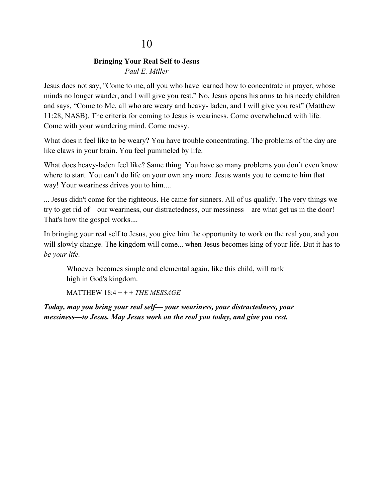# Bringing Your Real Self to Jesus

Paul E. Miller

<span id="page-13-0"></span>Jesus does not say, "Come to me, all you who have learned how to concentrate in prayer, whose minds no longer wander, and I will give you rest." No, Jesus opens his arms to his needy children and says, "Come to Me, all who are weary and heavy- laden, and I will give you rest" (Matthew 11:28, NASB). The criteria for coming to Jesus is weariness. Come overwhelmed with life. Come with your wandering mind. Come messy.

What does it feel like to be weary? You have trouble concentrating. The problems of the day are like claws in your brain. You feel pummeled by life.

What does heavy-laden feel like? Same thing. You have so many problems you don't even know where to start. You can't do life on your own any more. Jesus wants you to come to him that way! Your weariness drives you to him....

... Jesus didn't come for the righteous. He came for sinners. All of us qualify. The very things we try to get rid of—our weariness, our distractedness, our messiness—are what get us in the door! That's how the gospel works....

In bringing your real self to Jesus, you give him the opportunity to work on the real you, and you will slowly change. The kingdom will come... when Jesus becomes king of your life. But it has to be your life.

Whoever becomes simple and elemental again, like this child, will rank high in God's kingdom.

MATTHEW  $18:4$  + + + THE MESSAGE

Today, may you bring your real self— your weariness, your distractedness, your messiness—to Jesus. May Jesus work on the real you today, and give you rest.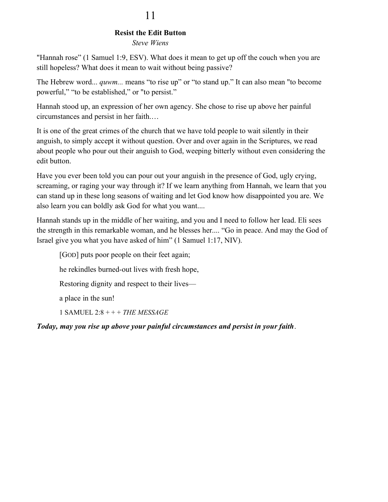#### Resist the Edit Button

Steve Wiens

<span id="page-14-0"></span>"Hannah rose" (1 Samuel 1:9, ESV). What does it mean to get up off the couch when you are still hopeless? What does it mean to wait without being passive?

The Hebrew word... *quwm...* means "to rise up" or "to stand up." It can also mean "to become powerful," "to be established," or "to persist."

Hannah stood up, an expression of her own agency. She chose to rise up above her painful circumstances and persist in her faith.…

It is one of the great crimes of the church that we have told people to wait silently in their anguish, to simply accept it without question. Over and over again in the Scriptures, we read about people who pour out their anguish to God, weeping bitterly without even considering the edit button.

Have you ever been told you can pour out your anguish in the presence of God, ugly crying, screaming, or raging your way through it? If we learn anything from Hannah, we learn that you can stand up in these long seasons of waiting and let God know how disappointed you are. We also learn you can boldly ask God for what you want....

Hannah stands up in the middle of her waiting, and you and I need to follow her lead. Eli sees the strength in this remarkable woman, and he blesses her.... "Go in peace. And may the God of Israel give you what you have asked of him" (1 Samuel 1:17, NIV).

[GOD] puts poor people on their feet again; he rekindles burned-out lives with fresh hope, Restoring dignity and respect to their lives a place in the sun! 1 SAMUEL 2:8 + + + THE MESSAGE

Today, may you rise up above your painful circumstances and persist in your faith.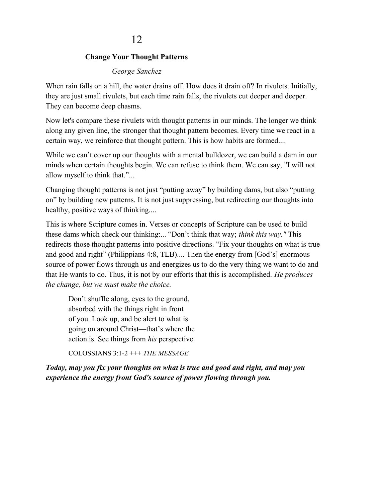#### Change Your Thought Patterns

#### George Sanchez

<span id="page-15-0"></span>When rain falls on a hill, the water drains off. How does it drain off? In rivulets. Initially, they are just small rivulets, but each time rain falls, the rivulets cut deeper and deeper. They can become deep chasms.

Now let's compare these rivulets with thought patterns in our minds. The longer we think along any given line, the stronger that thought pattern becomes. Every time we react in a certain way, we reinforce that thought pattern. This is how habits are formed....

While we can't cover up our thoughts with a mental bulldozer, we can build a dam in our minds when certain thoughts begin. We can refuse to think them. We can say, "I will not allow myself to think that."...

Changing thought patterns is not just "putting away" by building dams, but also "putting on" by building new patterns. It is not just suppressing, but redirecting our thoughts into healthy, positive ways of thinking....

This is where Scripture comes in. Verses or concepts of Scripture can be used to build these dams which check our thinking:... "Don't think that way; think this way." This redirects those thought patterns into positive directions. "Fix your thoughts on what is true and good and right" (Philippians 4:8, TLB).... Then the energy from [God's] enormous source of power flows through us and energizes us to do the very thing we want to do and that He wants to do. Thus, it is not by our efforts that this is accomplished. He produces the change, but we must make the choice.

Don't shuffle along, eyes to the ground, absorbed with the things right in front of you. Look up, and be alert to what is going on around Christ—that's where the action is. See things from his perspective.

COLOSSIANS 3:1-2 +++ THE MESSAGE

Today, may you fix your thoughts on what is true and good and right, and may you experience the energy front God's source of power flowing through you.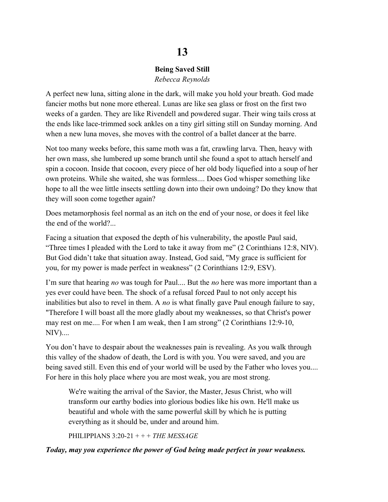### Being Saved Still Rebecca Reynolds

<span id="page-16-0"></span>A perfect new luna, sitting alone in the dark, will make you hold your breath. God made fancier moths but none more ethereal. Lunas are like sea glass or frost on the first two weeks of a garden. They are like Rivendell and powdered sugar. Their wing tails cross at the ends like lace-trimmed sock ankles on a tiny girl sitting still on Sunday morning. And when a new luna moves, she moves with the control of a ballet dancer at the barre.

Not too many weeks before, this same moth was a fat, crawling larva. Then, heavy with her own mass, she lumbered up some branch until she found a spot to attach herself and spin a cocoon. Inside that cocoon, every piece of her old body liquefied into a soup of her own proteins. While she waited, she was formless.... Does God whisper something like hope to all the wee little insects settling down into their own undoing? Do they know that they will soon come together again?

Does metamorphosis feel normal as an itch on the end of your nose, or does it feel like the end of the world?...

Facing a situation that exposed the depth of his vulnerability, the apostle Paul said, "Three times I pleaded with the Lord to take it away from me" (2 Corinthians 12:8, NIV). But God didn't take that situation away. Instead, God said, "My grace is sufficient for you, for my power is made perfect in weakness" (2 Corinthians 12:9, ESV).

I'm sure that hearing no was tough for Paul.... But the no here was more important than a yes ever could have been. The shock of a refusal forced Paul to not only accept his inabilities but also to revel in them. A *no* is what finally gave Paul enough failure to say, "Therefore I will boast all the more gladly about my weaknesses, so that Christ's power may rest on me.... For when I am weak, then I am strong" (2 Corinthians 12:9-10, NIV)....

You don't have to despair about the weaknesses pain is revealing. As you walk through this valley of the shadow of death, the Lord is with you. You were saved, and you are being saved still. Even this end of your world will be used by the Father who loves you.... For here in this holy place where you are most weak, you are most strong.

We're waiting the arrival of the Savior, the Master, Jesus Christ, who will transform our earthy bodies into glorious bodies like his own. He'll make us beautiful and whole with the same powerful skill by which he is putting everything as it should be, under and around him.

PHILIPPIANS  $3:20-21$  + + + THE MESSAGE

#### Today, may you experience the power of God being made perfect in your weakness.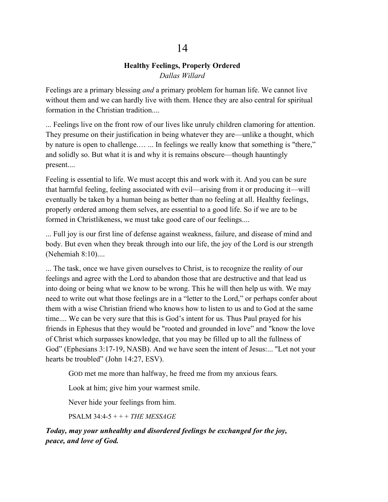### Healthy Feelings, Properly Ordered Dallas Willard

<span id="page-17-0"></span>Feelings are a primary blessing and a primary problem for human life. We cannot live without them and we can hardly live with them. Hence they are also central for spiritual formation in the Christian tradition....

... Feelings live on the front row of our lives like unruly children clamoring for attention. They presume on their justification in being whatever they are—unlike a thought, which by nature is open to challenge.… ... In feelings we really know that something is "there," and solidly so. But what it is and why it is remains obscure—though hauntingly present....

Feeling is essential to life. We must accept this and work with it. And you can be sure that harmful feeling, feeling associated with evil—arising from it or producing it—will eventually be taken by a human being as better than no feeling at all. Healthy feelings, properly ordered among them selves, are essential to a good life. So if we are to be formed in Christlikeness, we must take good care of our feelings....

... Full joy is our first line of defense against weakness, failure, and disease of mind and body. But even when they break through into our life, the joy of the Lord is our strength (Nehemiah 8:10)....

... The task, once we have given ourselves to Christ, is to recognize the reality of our feelings and agree with the Lord to abandon those that are destructive and that lead us into doing or being what we know to be wrong. This he will then help us with. We may need to write out what those feelings are in a "letter to the Lord," or perhaps confer about them with a wise Christian friend who knows how to listen to us and to God at the same time.... We can be very sure that this is God's intent for us. Thus Paul prayed for his friends in Ephesus that they would be "rooted and grounded in love" and "know the love of Christ which surpasses knowledge, that you may be filled up to all the fullness of God" (Ephesians 3:17-19, NASB). And we have seen the intent of Jesus:... "Let not your hearts be troubled" (John 14:27, ESV).

GOD met me more than halfway, he freed me from my anxious fears.

Look at him; give him your warmest smile.

Never hide your feelings from him.

PSALM  $34:4-5$  + + + THE MESSAGE

Today, may your unhealthy and disordered feelings be exchanged for the joy, peace, and love of God.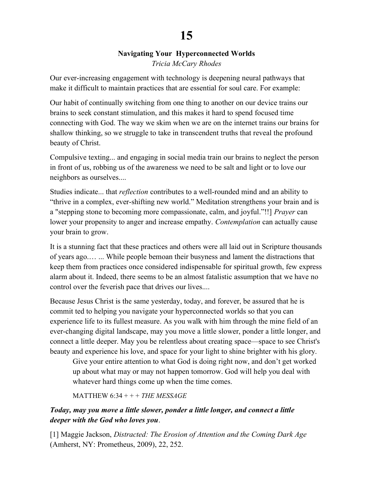### Navigating Your Hyperconnected Worlds Tricia McCary Rhodes

<span id="page-18-0"></span>Our ever-increasing engagement with technology is deepening neural pathways that make it difficult to maintain practices that are essential for soul care. For example:

Our habit of continually switching from one thing to another on our device trains our brains to seek constant stimulation, and this makes it hard to spend focused time connecting with God. The way we skim when we are on the internet trains our brains for shallow thinking, so we struggle to take in transcendent truths that reveal the profound beauty of Christ.

Compulsive texting... and engaging in social media train our brains to neglect the person in front of us, robbing us of the awareness we need to be salt and light or to love our neighbors as ourselves....

Studies indicate... that reflection contributes to a well-rounded mind and an ability to "thrive in a complex, ever-shifting new world." Meditation strengthens your brain and is a "stepping stone to becoming more compassionate, calm, and joyful."!!] Prayer can lower your propensity to anger and increase empathy. Contemplation can actually cause your brain to grow.

It is a stunning fact that these practices and others were all laid out in Scripture thousands of years ago.… ... While people bemoan their busyness and lament the distractions that keep them from practices once considered indispensable for spiritual growth, few express alarm about it. Indeed, there seems to be an almost fatalistic assumption that we have no control over the feverish pace that drives our lives....

Because Jesus Christ is the same yesterday, today, and forever, be assured that he is commit ted to helping you navigate your hyperconnected worlds so that you can experience life to its fullest measure. As you walk with him through the mine field of an ever-changing digital landscape, may you move a little slower, ponder a little longer, and connect a little deeper. May you be relentless about creating space—space to see Christ's beauty and experience his love, and space for your light to shine brighter with his glory.

Give your entire attention to what God is doing right now, and don't get worked up about what may or may not happen tomorrow. God will help you deal with whatever hard things come up when the time comes.

MATTHEW  $6:34 + + +$  THE MESSAGE

### Today, may you move a little slower, ponder a little longer, and connect a little deeper with the God who loves you.

[1] Maggie Jackson, Distracted: The Erosion of Attention and the Coming Dark Age (Amherst, NY: Prometheus, 2009), 22, 252.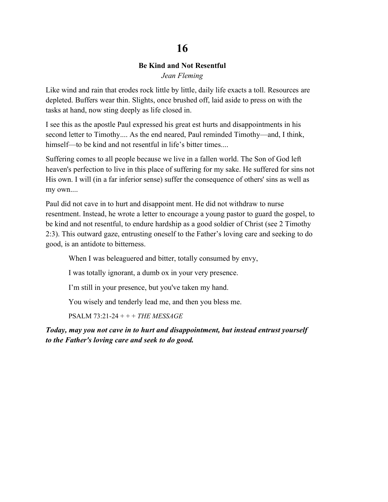### Be Kind and Not Resentful

Jean Fleming

<span id="page-19-0"></span>Like wind and rain that erodes rock little by little, daily life exacts a toll. Resources are depleted. Buffers wear thin. Slights, once brushed off, laid aside to press on with the tasks at hand, now sting deeply as life closed in.

I see this as the apostle Paul expressed his great est hurts and disappointments in his second letter to Timothy.... As the end neared, Paul reminded Timothy—and, I think, himself—to be kind and not resentful in life's bitter times....

Suffering comes to all people because we live in a fallen world. The Son of God left heaven's perfection to live in this place of suffering for my sake. He suffered for sins not His own. I will (in a far inferior sense) suffer the consequence of others' sins as well as my own....

Paul did not cave in to hurt and disappoint ment. He did not withdraw to nurse resentment. Instead, he wrote a letter to encourage a young pastor to guard the gospel, to be kind and not resentful, to endure hardship as a good soldier of Christ (see 2 Timothy 2:3). This outward gaze, entrusting oneself to the Father's loving care and seeking to do good, is an antidote to bitterness.

When I was beleaguered and bitter, totally consumed by envy,

I was totally ignorant, a dumb ox in your very presence.

I'm still in your presence, but you've taken my hand.

You wisely and tenderly lead me, and then you bless me.

PSALM  $73:21-24$  + + + THE MESSAGE

Today, may you not cave in to hurt and disappointment, but instead entrust yourself to the Father's loving care and seek to do good.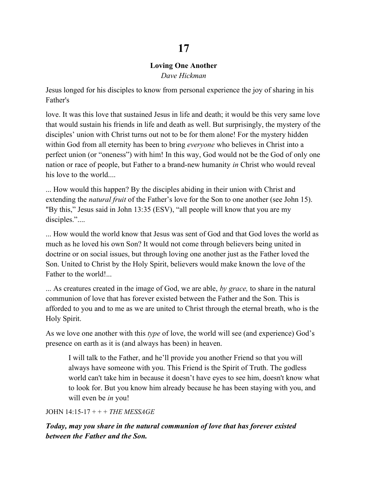#### Loving One Another

Dave Hickman

<span id="page-20-0"></span>Jesus longed for his disciples to know from personal experience the joy of sharing in his Father's

love. It was this love that sustained Jesus in life and death; it would be this very same love that would sustain his friends in life and death as well. But surprisingly, the mystery of the disciples' union with Christ turns out not to be for them alone! For the mystery hidden within God from all eternity has been to bring *everyone* who believes in Christ into a perfect union (or "oneness") with him! In this way, God would not be the God of only one nation or race of people, but Father to a brand-new humanity in Christ who would reveal his love to the world....

... How would this happen? By the disciples abiding in their union with Christ and extending the *natural fruit* of the Father's love for the Son to one another (see John 15). "By this," Jesus said in John 13:35 (ESV), "all people will know that you are my disciples."....

... How would the world know that Jesus was sent of God and that God loves the world as much as he loved his own Son? It would not come through believers being united in doctrine or on social issues, but through loving one another just as the Father loved the Son. United to Christ by the Holy Spirit, believers would make known the love of the Father to the world!...

... As creatures created in the image of God, we are able, by grace, to share in the natural communion of love that has forever existed between the Father and the Son. This is afforded to you and to me as we are united to Christ through the eternal breath, who is the Holy Spirit.

As we love one another with this type of love, the world will see (and experience) God's presence on earth as it is (and always has been) in heaven.

I will talk to the Father, and he'll provide you another Friend so that you will always have someone with you. This Friend is the Spirit of Truth. The godless world can't take him in because it doesn't have eyes to see him, doesn't know what to look for. But you know him already because he has been staying with you, and will even be *in* you!

JOHN  $14:15-17+++$  THE MESSAGE

Today, may you share in the natural communion of love that has forever existed between the Father and the Son.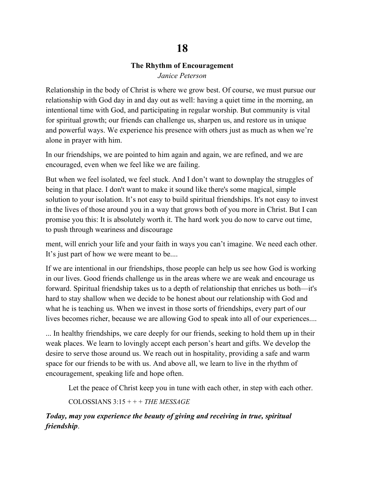### The Rhythm of Encouragement

Janice Peterson

<span id="page-21-0"></span>Relationship in the body of Christ is where we grow best. Of course, we must pursue our relationship with God day in and day out as well: having a quiet time in the morning, an intentional time with God, and participating in regular worship. But community is vital for spiritual growth; our friends can challenge us, sharpen us, and restore us in unique and powerful ways. We experience his presence with others just as much as when we're alone in prayer with him.

In our friendships, we are pointed to him again and again, we are refined, and we are encouraged, even when we feel like we are failing.

But when we feel isolated, we feel stuck. And I don't want to downplay the struggles of being in that place. I don't want to make it sound like there's some magical, simple solution to your isolation. It's not easy to build spiritual friendships. It's not easy to invest in the lives of those around you in a way that grows both of you more in Christ. But I can promise you this: It is absolutely worth it. The hard work you do now to carve out time, to push through weariness and discourage

ment, will enrich your life and your faith in ways you can't imagine. We need each other. It's just part of how we were meant to be....

If we are intentional in our friendships, those people can help us see how God is working in our lives. Good friends challenge us in the areas where we are weak and encourage us forward. Spiritual friendship takes us to a depth of relationship that enriches us both—it's hard to stay shallow when we decide to be honest about our relationship with God and what he is teaching us. When we invest in those sorts of friendships, every part of our lives becomes richer, because we are allowing God to speak into all of our experiences....

... In healthy friendships, we care deeply for our friends, seeking to hold them up in their weak places. We learn to lovingly accept each person's heart and gifts. We develop the desire to serve those around us. We reach out in hospitality, providing a safe and warm space for our friends to be with us. And above all, we learn to live in the rhythm of encouragement, speaking life and hope often.

Let the peace of Christ keep you in tune with each other, in step with each other.

COLOSSIANS  $3:15 + + +$  THE MESSAGE

Today, may you experience the beauty of giving and receiving in true, spiritual friendship.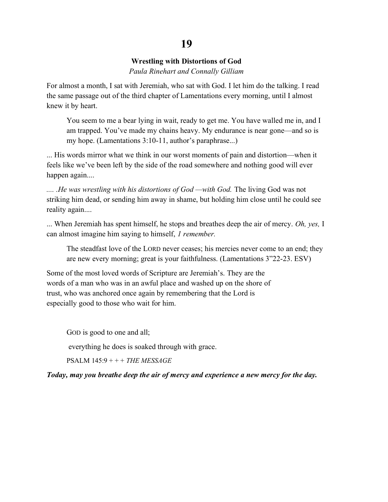#### Wrestling with Distortions of God

Paula Rinehart and Connally Gilliam

<span id="page-22-0"></span>For almost a month, I sat with Jeremiah, who sat with God. I let him do the talking. I read the same passage out of the third chapter of Lamentations every morning, until I almost knew it by heart.

You seem to me a bear lying in wait, ready to get me. You have walled me in, and I am trapped. You've made my chains heavy. My endurance is near gone—and so is my hope. (Lamentations 3:10-11, author's paraphrase...)

... His words mirror what we think in our worst moments of pain and distortion—when it feels like we've been left by the side of the road somewhere and nothing good will ever happen again....

.... .He was wrestling with his distortions of God —with God. The living God was not striking him dead, or sending him away in shame, but holding him close until he could see reality again....

... When Jeremiah has spent himself, he stops and breathes deep the air of mercy. *Oh*, yes, I can almost imagine him saying to himself, 1 remember.

The steadfast love of the LORD never ceases; his mercies never come to an end; they are new every morning; great is your faithfulness. (Lamentations 3"22-23. ESV)

Some of the most loved words of Scripture are Jeremiah's. They are the words of a man who was in an awful place and washed up on the shore of trust, who was anchored once again by remembering that the Lord is especially good to those who wait for him.

GOD is good to one and all;

everything he does is soaked through with grace.

PSALM  $145:9$  + + + THE MESSAGE

Today, may you breathe deep the air of mercy and experience a new mercy for the day.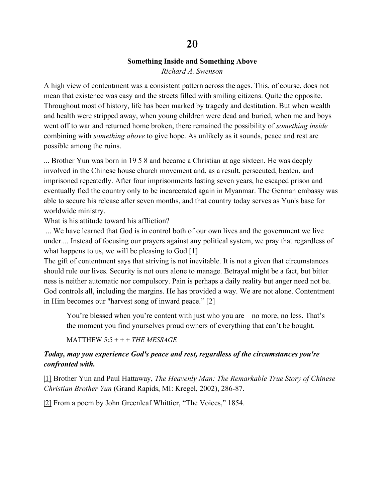#### Something Inside and Something Above

Richard A. Swenson

<span id="page-23-0"></span>A high view of contentment was a consistent pattern across the ages. This, of course, does not mean that existence was easy and the streets filled with smiling citizens. Quite the opposite. Throughout most of history, life has been marked by tragedy and destitution. But when wealth and health were stripped away, when young children were dead and buried, when me and boys went off to war and returned home broken, there remained the possibility of *something inside* combining with *something above* to give hope. As unlikely as it sounds, peace and rest are possible among the ruins.

... Brother Yun was born in 19 5 8 and became a Christian at age sixteen. He was deeply involved in the Chinese house church movement and, as a result, persecuted, beaten, and imprisoned repeatedly. After four imprisonments lasting seven years, he escaped prison and eventually fled the country only to be incarcerated again in Myanmar. The German embassy was able to secure his release after seven months, and that country today serves as Yun's base for worldwide ministry.

What is his attitude toward his affliction?

 ... We have learned that God is in control both of our own lives and the government we live under.... Instead of focusing our prayers against any political system, we pray that regardless of what happens to us, we will be pleasing to God.<sup>[1]</sup>

The gift of contentment says that striving is not inevitable. It is not a given that circumstances should rule our lives. Security is not ours alone to manage. Betrayal might be a fact, but bitter ness is neither automatic nor compulsory. Pain is perhaps a daily reality but anger need not be. God controls all, including the margins. He has provided a way. We are not alone. Contentment in Him becomes our "harvest song of inward peace." [2]

You're blessed when you're content with just who you are—no more, no less. That's the moment you find yourselves proud owners of everything that can't be bought.

MATTHEW  $5:5$  + + + THE MESSAGE

#### Today, may you experience God's peace and rest, regardless of the circumstances you're confronted with.

|1] Brother Yun and Paul Hattaway, The Heavenly Man: The Remarkable True Story of Chinese Christian Brother Yun (Grand Rapids, MI: Kregel, 2002), 286-87.

|2] From a poem by John Greenleaf Whittier, "The Voices," 1854.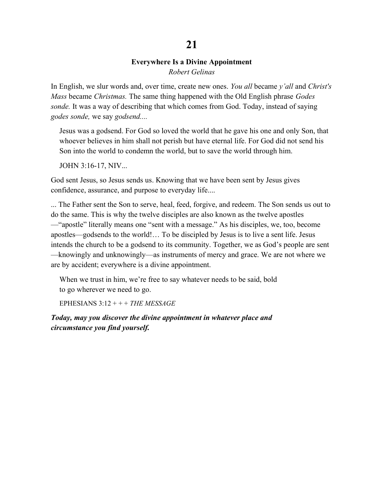#### Everywhere Is a Divine Appointment

Robert Gelinas

<span id="page-24-0"></span>In English, we slur words and, over time, create new ones. You all became y'all and Christ's Mass became Christmas. The same thing happened with the Old English phrase Godes sonde. It was a way of describing that which comes from God. Today, instead of saying godes sonde, we say godsend....

Jesus was a godsend. For God so loved the world that he gave his one and only Son, that whoever believes in him shall not perish but have eternal life. For God did not send his Son into the world to condemn the world, but to save the world through him.

JOHN 3:16-17, NIV...

God sent Jesus, so Jesus sends us. Knowing that we have been sent by Jesus gives confidence, assurance, and purpose to everyday life....

... The Father sent the Son to serve, heal, feed, forgive, and redeem. The Son sends us out to do the same. This is why the twelve disciples are also known as the twelve apostles —"apostle" literally means one "sent with a message." As his disciples, we, too, become apostles—godsends to the world!… To be discipled by Jesus is to live a sent life. Jesus intends the church to be a godsend to its community. Together, we as God's people are sent —knowingly and unknowingly—as instruments of mercy and grace. We are not where we are by accident; everywhere is a divine appointment.

When we trust in him, we're free to say whatever needs to be said, bold to go wherever we need to go.

EPHESIANS  $3:12 + + +$  THE MESSAGE

Today, may you discover the divine appointment in whatever place and circumstance you find yourself.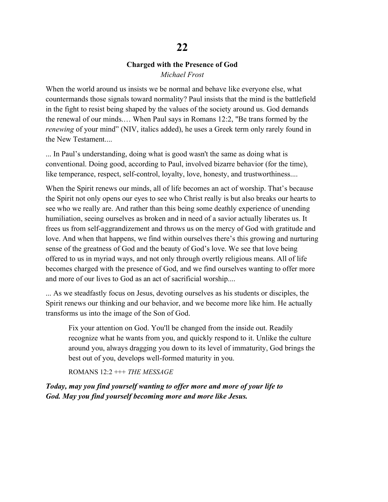### Charged with the Presence of God

Michael Frost

<span id="page-25-0"></span>When the world around us insists we be normal and behave like everyone else, what countermands those signals toward normality? Paul insists that the mind is the battlefield in the fight to resist being shaped by the values of the society around us. God demands the renewal of our minds.… When Paul says in Romans 12:2, "Be trans formed by the renewing of your mind" (NIV, italics added), he uses a Greek term only rarely found in the New Testament....

... In Paul's understanding, doing what is good wasn't the same as doing what is conventional. Doing good, according to Paul, involved bizarre behavior (for the time), like temperance, respect, self-control, loyalty, love, honesty, and trustworthiness....

When the Spirit renews our minds, all of life becomes an act of worship. That's because the Spirit not only opens our eyes to see who Christ really is but also breaks our hearts to see who we really are. And rather than this being some deathly experience of unending humiliation, seeing ourselves as broken and in need of a savior actually liberates us. It frees us from self-aggrandizement and throws us on the mercy of God with gratitude and love. And when that happens, we find within ourselves there's this growing and nurturing sense of the greatness of God and the beauty of God's love. We see that love being offered to us in myriad ways, and not only through overtly religious means. All of life becomes charged with the presence of God, and we find ourselves wanting to offer more and more of our lives to God as an act of sacrificial worship....

... As we steadfastly focus on Jesus, devoting ourselves as his students or disciples, the Spirit renews our thinking and our behavior, and we become more like him. He actually transforms us into the image of the Son of God.

Fix your attention on God. You'll be changed from the inside out. Readily recognize what he wants from you, and quickly respond to it. Unlike the culture around you, always dragging you down to its level of immaturity, God brings the best out of you, develops well-formed maturity in you.

ROMANS 12:2 +++ THE MESSAGE

Today, may you find yourself wanting to offer more and more of your life to God. May you find yourself becoming more and more like Jesus.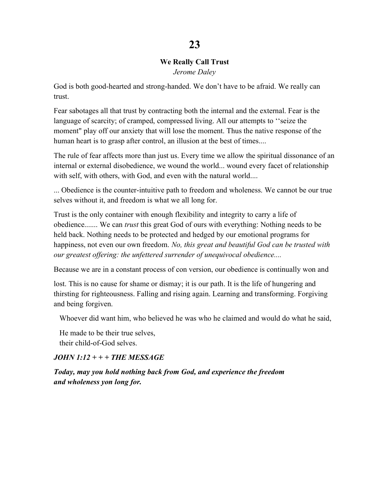### We Really Call Trust

Jerome Daley

<span id="page-26-0"></span>God is both good-hearted and strong-handed. We don't have to be afraid. We really can trust.

Fear sabotages all that trust by contracting both the internal and the external. Fear is the language of scarcity; of cramped, compressed living. All our attempts to ''seize the moment" play off our anxiety that will lose the moment. Thus the native response of the human heart is to grasp after control, an illusion at the best of times....

The rule of fear affects more than just us. Every time we allow the spiritual dissonance of an internal or external disobedience, we wound the world... wound every facet of relationship with self, with others, with God, and even with the natural world....

... Obedience is the counter-intuitive path to freedom and wholeness. We cannot be our true selves without it, and freedom is what we all long for.

Trust is the only container with enough flexibility and integrity to carry a life of obedience....... We can trust this great God of ours with everything: Nothing needs to be held back. Nothing needs to be protected and hedged by our emotional programs for happiness, not even our own freedom. No, this great and beautiful God can be trusted with our greatest offering: the unfettered surrender of unequivocal obedience....

Because we are in a constant process of con version, our obedience is continually won and

lost. This is no cause for shame or dismay; it is our path. It is the life of hungering and thirsting for righteousness. Falling and rising again. Learning and transforming. Forgiving and being forgiven.

Whoever did want him, who believed he was who he claimed and would do what he said,

He made to be their true selves, their child-of-God selves.

#### $JOHN 1:12+++THE MESSAGE$

Today, may you hold nothing back from God, and experience the freedom and wholeness yon long for.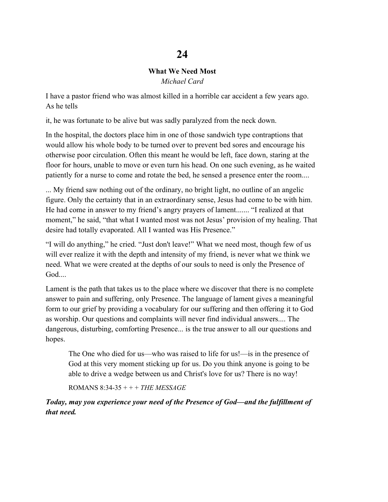#### What We Need Most

Michael Card

<span id="page-27-0"></span>I have a pastor friend who was almost killed in a horrible car accident a few years ago. As he tells

it, he was fortunate to be alive but was sadly paralyzed from the neck down.

In the hospital, the doctors place him in one of those sandwich type contraptions that would allow his whole body to be turned over to prevent bed sores and encourage his otherwise poor circulation. Often this meant he would be left, face down, staring at the floor for hours, unable to move or even turn his head. On one such evening, as he waited patiently for a nurse to come and rotate the bed, he sensed a presence enter the room....

... My friend saw nothing out of the ordinary, no bright light, no outline of an angelic figure. Only the certainty that in an extraordinary sense, Jesus had come to be with him. He had come in answer to my friend's angry prayers of lament....... "I realized at that moment," he said, "that what I wanted most was not Jesus' provision of my healing. That desire had totally evaporated. All I wanted was His Presence."

"I will do anything," he cried. "Just don't leave!" What we need most, though few of us will ever realize it with the depth and intensity of my friend, is never what we think we need. What we were created at the depths of our souls to need is only the Presence of God....

Lament is the path that takes us to the place where we discover that there is no complete answer to pain and suffering, only Presence. The language of lament gives a meaningful form to our grief by providing a vocabulary for our suffering and then offering it to God as worship. Our questions and complaints will never find individual answers.... The dangerous, disturbing, comforting Presence... is the true answer to all our questions and hopes.

The One who died for us—who was raised to life for us!—is in the presence of God at this very moment sticking up for us. Do you think anyone is going to be able to drive a wedge between us and Christ's love for us? There is no way!

ROMANS  $8:34-35$  + + + THE MESSAGE

Today, may you experience your need of the Presence of God—and the fulfillment of that need.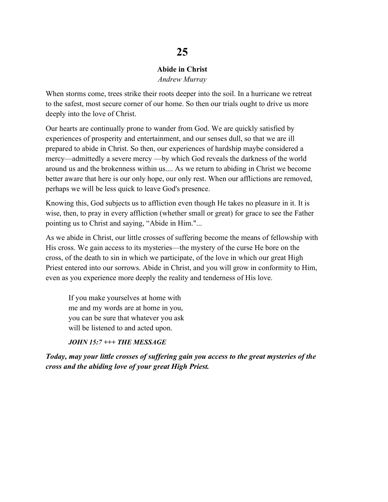#### Abide in Christ

#### Andrew Murray

<span id="page-28-0"></span>When storms come, trees strike their roots deeper into the soil. In a hurricane we retreat to the safest, most secure corner of our home. So then our trials ought to drive us more deeply into the love of Christ.

Our hearts are continually prone to wander from God. We are quickly satisfied by experiences of prosperity and entertainment, and our senses dull, so that we are ill prepared to abide in Christ. So then, our experiences of hardship maybe considered a mercy—admittedly a severe mercy —by which God reveals the darkness of the world around us and the brokenness within us.... As we return to abiding in Christ we become better aware that here is our only hope, our only rest. When our afflictions are removed, perhaps we will be less quick to leave God's presence.

Knowing this, God subjects us to affliction even though He takes no pleasure in it. It is wise, then, to pray in every affliction (whether small or great) for grace to see the Father pointing us to Christ and saying, "Abide in Him."...

As we abide in Christ, our little crosses of suffering become the means of fellowship with His cross. We gain access to its mysteries—the mystery of the curse He bore on the cross, of the death to sin in which we participate, of the love in which our great High Priest entered into our sorrows. Abide in Christ, and you will grow in conformity to Him, even as you experience more deeply the reality and tenderness of His love.

If you make yourselves at home with me and my words are at home in you, you can be sure that whatever you ask will be listened to and acted upon.

JOHN 15:7 +++ THE MESSAGE

Today, may your little crosses of suffering gain you access to the great mysteries of the cross and the abiding love of your great High Priest.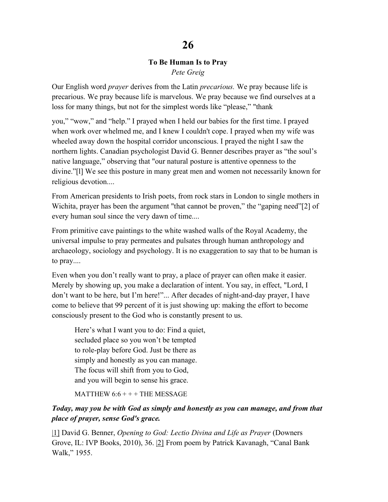### To Be Human Is to Pray

Pete Greig

<span id="page-29-0"></span>Our English word *prayer* derives from the Latin *precarious*. We pray because life is precarious. We pray because life is marvelous. We pray because we find ourselves at a loss for many things, but not for the simplest words like "please," "thank

you," "wow," and "help." I prayed when I held our babies for the first time. I prayed when work over whelmed me, and I knew I couldn't cope. I prayed when my wife was wheeled away down the hospital corridor unconscious. I prayed the night I saw the northern lights. Canadian psychologist David G. Benner describes prayer as "the soul's native language," observing that "our natural posture is attentive openness to the divine."[l] We see this posture in many great men and women not necessarily known for religious devotion....

From American presidents to Irish poets, from rock stars in London to single mothers in Wichita, prayer has been the argument "that cannot be proven," the "gaping need"[2] of every human soul since the very dawn of time....

From primitive cave paintings to the white washed walls of the Royal Academy, the universal impulse to pray permeates and pulsates through human anthropology and archaeology, sociology and psychology. It is no exaggeration to say that to be human is to pray....

Even when you don't really want to pray, a place of prayer can often make it easier. Merely by showing up, you make a declaration of intent. You say, in effect, "Lord, I don't want to be here, but I'm here!"... After decades of night-and-day prayer, I have come to believe that 99 percent of it is just showing up: making the effort to become consciously present to the God who is constantly present to us.

Here's what I want you to do: Find a quiet, secluded place so you won't be tempted to role-play before God. Just be there as simply and honestly as you can manage. The focus will shift from you to God, and you will begin to sense his grace.

MATTHEW  $6:6$  + + + THE MESSAGE

### Today, may you be with God as simply and honestly as you can manage, and from that place of prayer, sense God's grace.

|1] David G. Benner, Opening to God: Lectio Divina and Life as Prayer (Downers Grove, IL: IVP Books, 2010), 36. |2] From poem by Patrick Kavanagh, "Canal Bank Walk," 1955.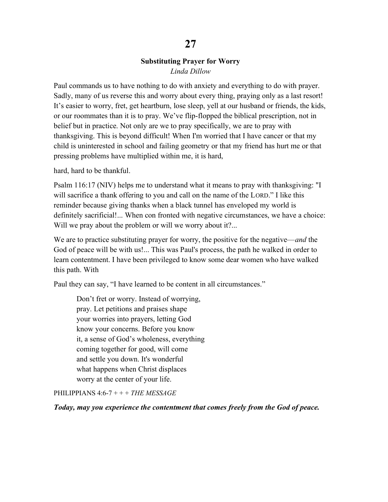# Substituting Prayer for Worry

Linda Dillow

<span id="page-30-0"></span>Paul commands us to have nothing to do with anxiety and everything to do with prayer. Sadly, many of us reverse this and worry about every thing, praying only as a last resort! It's easier to worry, fret, get heartburn, lose sleep, yell at our husband or friends, the kids, or our roommates than it is to pray. We've flip-flopped the biblical prescription, not in belief but in practice. Not only are we to pray specifically, we are to pray with thanksgiving. This is beyond difficult! When I'm worried that I have cancer or that my child is uninterested in school and failing geometry or that my friend has hurt me or that pressing problems have multiplied within me, it is hard,

hard, hard to be thankful.

Psalm 116:17 (NIV) helps me to understand what it means to pray with thanksgiving: "I will sacrifice a thank offering to you and call on the name of the LORD." I like this reminder because giving thanks when a black tunnel has enveloped my world is definitely sacrificial!... When con fronted with negative circumstances, we have a choice: Will we pray about the problem or will we worry about it?...

We are to practice substituting prayer for worry, the positive for the negative—and the God of peace will be with us!... This was Paul's process, the path he walked in order to learn contentment. I have been privileged to know some dear women who have walked this path. With

Paul they can say, "I have learned to be content in all circumstances."

Don't fret or worry. Instead of worrying, pray. Let petitions and praises shape your worries into prayers, letting God know your concerns. Before you know it, a sense of God's wholeness, everything coming together for good, will come and settle you down. It's wonderful what happens when Christ displaces worry at the center of your life.

#### PHILIPPIANS  $4:6-7+++$  THE MESSAGE

Today, may you experience the contentment that comes freely from the God of peace.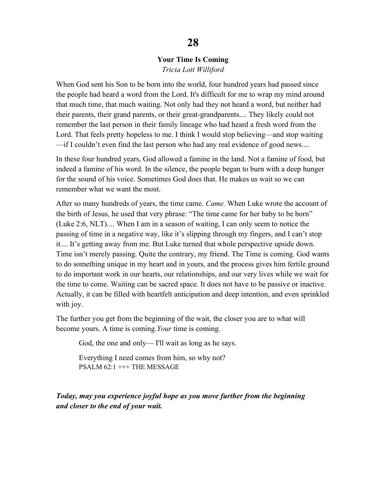### Your Time Is Coming Tricia Lott Williford

<span id="page-31-0"></span>When God sent his Son to be born into the world, four hundred years had passed since the people had heard a word from the Lord. It's difficult for me to wrap my mind around that much time, that much waiting. Not only had they not heard a word, but neither had their parents, their grand parents, or their great-grandparents.... They likely could not remember the last person in their family lineage who had heard a fresh word from the Lord. That feels pretty hopeless to me. I think I would stop believing—and stop waiting —if I couldn't even find the last person who had any real evidence of good news....

In these four hundred years, God allowed a famine in the land. Not a famine of food, but indeed a famine of his word. In the silence, the people began to burn with a deep hunger for the sound of his voice. Sometimes God does that. He makes us wait so we can remember what we want the most.

After so many hundreds of years, the time came. Came. When Luke wrote the account of the birth of Jesus, he used that very phrase: "The time came for her baby to be born" (Luke 2:6, NLT).... When I am in a season of waiting, I can only seem to notice the passing of time in a negative way, like it's slipping through my fingers, and I can't stop it.... It's getting away from me. But Luke turned that whole perspective upside down. Time isn't merely passing. Quite the contrary, my friend. The Time is coming. God wants to do something unique in my heart and in yours, and the process gives him fertile ground to do important work in our hearts, our relationships, and our very lives while we wait for the time to come. Waiting can be sacred space. It does not have to be passive or inactive. Actually, it can be filled with heartfelt anticipation and deep intention, and even sprinkled with joy.

The further you get from the beginning of the wait, the closer you are to what will become yours. A time is coming.Your time is coming.

God, the one and only— I'll wait as long as he says.

Everything I need comes from him, so why not? PSALM 62:1 +++ THE MESSAGE

Today, may you experience joyful hope as you move further from the beginning and closer to the end of your wait.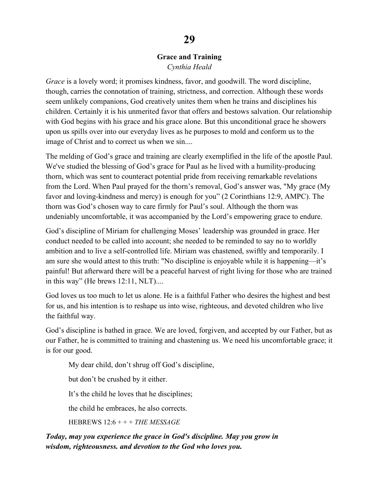### Grace and Training Cynthia Heald

<span id="page-32-0"></span>Grace is a lovely word; it promises kindness, favor, and goodwill. The word discipline, though, carries the connotation of training, strictness, and correction. Although these words seem unlikely companions, God creatively unites them when he trains and disciplines his children. Certainly it is his unmerited favor that offers and bestows salvation. Our relationship with God begins with his grace and his grace alone. But this unconditional grace he showers upon us spills over into our everyday lives as he purposes to mold and conform us to the image of Christ and to correct us when we sin....

The melding of God's grace and training are clearly exemplified in the life of the apostle Paul. We've studied the blessing of God's grace for Paul as he lived with a humility-producing thorn, which was sent to counteract potential pride from receiving remarkable revelations from the Lord. When Paul prayed for the thorn's removal, God's answer was, "My grace (My favor and loving-kindness and mercy) is enough for you" (2 Corinthians 12:9, AMPC). The thorn was God's chosen way to care firmly for Paul's soul. Although the thorn was undeniably uncomfortable, it was accompanied by the Lord's empowering grace to endure.

God's discipline of Miriam for challenging Moses' leadership was grounded in grace. Her conduct needed to be called into account; she needed to be reminded to say no to worldly ambition and to live a self-controlled life. Miriam was chastened, swiftly and temporarily. I am sure she would attest to this truth: "No discipline is enjoyable while it is happening—it's painful! But afterward there will be a peaceful harvest of right living for those who are trained in this way" (He brews 12:11, NLT)....

God loves us too much to let us alone. He is a faithful Father who desires the highest and best for us, and his intention is to reshape us into wise, righteous, and devoted children who live the faithful way.

God's discipline is bathed in grace. We are loved, forgiven, and accepted by our Father, but as our Father, he is committed to training and chastening us. We need his uncomfortable grace; it is for our good.

My dear child, don't shrug off God's discipline,

but don't be crushed by it either.

It's the child he loves that he disciplines;

the child he embraces, he also corrects.

HEBREWS  $12:6 + + +$  THE MESSAGE

Today, may you experience the grace in God's discipline. May you grow in wisdom, righteousness. and devotion to the God who loves you.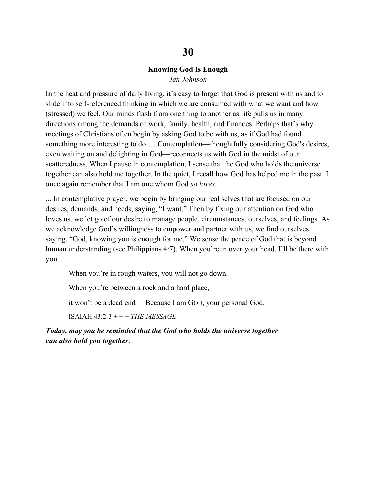#### Knowing God Is Enough

Jan Johnson

<span id="page-33-0"></span>In the heat and pressure of daily living, it's easy to forget that God is present with us and to slide into self-referenced thinking in which we are consumed with what we want and how (stressed) we feel. Our minds flash from one thing to another as life pulls us in many directions among the demands of work, family, health, and finances. Perhaps that's why meetings of Christians often begin by asking God to be with us, as if God had found something more interesting to do.… Contemplation—thoughtfully considering God's desires, even waiting on and delighting in God—reconnects us with God in the midst of our scatteredness. When I pause in contemplation, I sense that the God who holds the universe together can also hold me together. In the quiet, I recall how God has helped me in the past. I once again remember that I am one whom God so loves....

... In contemplative prayer, we begin by bringing our real selves that are focused on our desires, demands, and needs, saying, "I want." Then by fixing our attention on God who loves us, we let go of our desire to manage people, circumstances, ourselves, and feelings. As we acknowledge God's willingness to empower and partner with us, we find ourselves saying, "God, knowing you is enough for me." We sense the peace of God that is beyond human understanding (see Philippians 4:7). When you're in over your head, I'll be there with you.

When you're in rough waters, you will not go down.

When you're between a rock and a hard place,

it won't be a dead end— Because I am GOD, your personal God.

ISAIAH  $43:2-3$  + + + THE MESSAGE

Today, may you be reminded that the God who holds the universe together can also hold you together.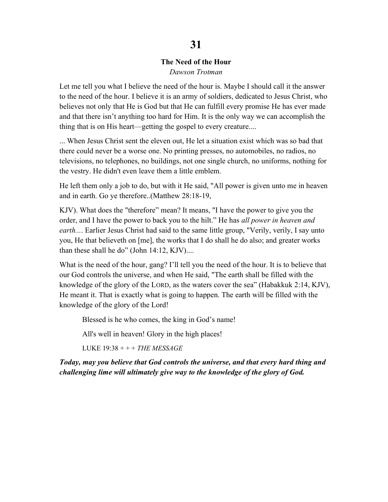### The Need of the Hour

Dawson Trotman

<span id="page-34-0"></span>Let me tell you what I believe the need of the hour is. Maybe I should call it the answer to the need of the hour. I believe it is an army of soldiers, dedicated to Jesus Christ, who believes not only that He is God but that He can fulfill every promise He has ever made and that there isn't anything too hard for Him. It is the only way we can accomplish the thing that is on His heart—getting the gospel to every creature....

... When Jesus Christ sent the eleven out, He let a situation exist which was so bad that there could never be a worse one. No printing presses, no automobiles, no radios, no televisions, no telephones, no buildings, not one single church, no uniforms, nothing for the vestry. He didn't even leave them a little emblem.

He left them only a job to do, but with it He said, "All power is given unto me in heaven and in earth. Go ye therefore..(Matthew 28:18-19,

KJV). What does the "therefore" mean? It means, "I have the power to give you the order, and I have the power to back you to the hilt." He has all power in heaven and earth.... Earlier Jesus Christ had said to the same little group, "Verily, verily, I say unto you, He that believeth on [me], the works that I do shall he do also; and greater works than these shall he do" (John 14:12, KJV)....

What is the need of the hour, gang? I'll tell you the need of the hour. It is to believe that our God controls the universe, and when He said, "The earth shall be filled with the knowledge of the glory of the LORD, as the waters cover the sea" (Habakkuk 2:14, KJV), He meant it. That is exactly what is going to happen. The earth will be filled with the knowledge of the glory of the Lord!

Blessed is he who comes, the king in God's name!

All's well in heaven! Glory in the high places!

LUKE  $19:38 + + +$  THE MESSAGE

Today, may you believe that God controls the universe, and that every hard thing and challenging lime will ultimately give way to the knowledge of the glory of God.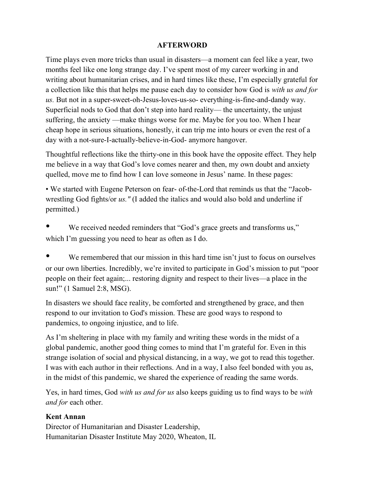#### **AFTERWORD**

<span id="page-35-0"></span>Time plays even more tricks than usual in disasters—a moment can feel like a year, two months feel like one long strange day. I've spent most of my career working in and writing about humanitarian crises, and in hard times like these, I'm especially grateful for a collection like this that helps me pause each day to consider how God is with us and for us. But not in a super-sweet-oh-Jesus-loves-us-so- everything-is-fine-and-dandy way. Superficial nods to God that don't step into hard reality— the uncertainty, the unjust suffering, the anxiety —make things worse for me. Maybe for you too. When I hear cheap hope in serious situations, honestly, it can trip me into hours or even the rest of a day with a not-sure-I-actually-believe-in-God- anymore hangover.

Thoughtful reflections like the thirty-one in this book have the opposite effect. They help me believe in a way that God's love comes nearer and then, my own doubt and anxiety quelled, move me to find how I can love someone in Jesus' name. In these pages:

• We started with Eugene Peterson on fear- of-the-Lord that reminds us that the "Jacobwrestling God fights/or us." (I added the italics and would also bold and underline if permitted.)

We received needed reminders that "God's grace greets and transforms us," which I'm guessing you need to hear as often as I do.

We remembered that our mission in this hard time isn't just to focus on ourselves or our own liberties. Incredibly, we're invited to participate in God's mission to put "poor people on their feet again;... restoring dignity and respect to their lives—a place in the sun!" (1 Samuel 2:8, MSG).

In disasters we should face reality, be comforted and strengthened by grace, and then respond to our invitation to God's mission. These are good ways to respond to pandemics, to ongoing injustice, and to life.

As I'm sheltering in place with my family and writing these words in the midst of a global pandemic, another good thing comes to mind that I'm grateful for. Even in this strange isolation of social and physical distancing, in a way, we got to read this together. I was with each author in their reflections. And in a way, I also feel bonded with you as, in the midst of this pandemic, we shared the experience of reading the same words.

Yes, in hard times, God with us and for us also keeps guiding us to find ways to be with and for each other.

#### Kent Annan

Director of Humanitarian and Disaster Leadership, Humanitarian Disaster Institute May 2020, Wheaton, IL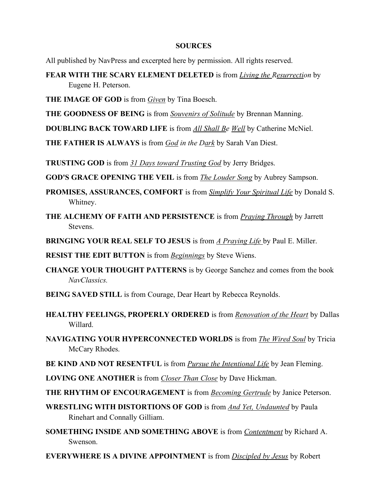#### **SOURCES**

- <span id="page-36-0"></span>All published by NavPress and excerpted here by permission. All rights reserved.
- FEAR WITH THE SCARY ELEMENT DELETED is from Living the Resurrection by Eugene H. Peterson.
- THE IMAGE OF GOD is from Given by Tina Boesch.
- THE GOODNESS OF BEING is from Souvenirs of Solitude by Brennan Manning.
- DOUBLING BACK TOWARD LIFE is from All Shall Be Well by Catherine McNiel.
- THE FATHER IS ALWAYS is from God in the Dark by Sarah Van Diest.
- TRUSTING GOD is from 31 Days toward Trusting God by Jerry Bridges.
- GOD'S GRACE OPENING THE VEIL is from *The Louder Song* by Aubrey Sampson.
- PROMISES, ASSURANCES, COMFORT is from Simplify Your Spiritual Life by Donald S. Whitney.
- THE ALCHEMY OF FAITH AND PERSISTENCE is from *Praying Through* by Jarrett Stevens.
- BRINGING YOUR REAL SELF TO JESUS is from A Praying Life by Paul E. Miller.
- RESIST THE EDIT BUTTON is from Beginnings by Steve Wiens.
- CHANGE YOUR THOUGHT PATTERNS is by George Sanchez and comes from the book NavClassics.
- BEING SAVED STILL is from Courage, Dear Heart by Rebecca Reynolds.
- **HEALTHY FEELINGS, PROPERLY ORDERED** is from *Renovation of the Heart by Dallas* Willard.
- NAVIGATING YOUR HYPERCONNECTED WORLDS is from *The Wired Soul* by Tricia McCary Rhodes.
- BE KIND AND NOT RESENTFUL is from *Pursue the Intentional Life* by Jean Fleming.
- LOVING ONE ANOTHER is from *Closer Than Close* by Dave Hickman.
- THE RHYTHM OF ENCOURAGEMENT is from **Becoming Gertrude** by Janice Peterson.
- WRESTLING WITH DISTORTIONS OF GOD is from *And Yet, Undaunted* by Paula Rinehart and Connally Gilliam.
- SOMETHING INSIDE AND SOMETHING ABOVE is from *Contentment* by Richard A. Swenson.
- EVERYWHERE IS A DIVINE APPOINTMENT is from *Discipled by Jesus* by Robert